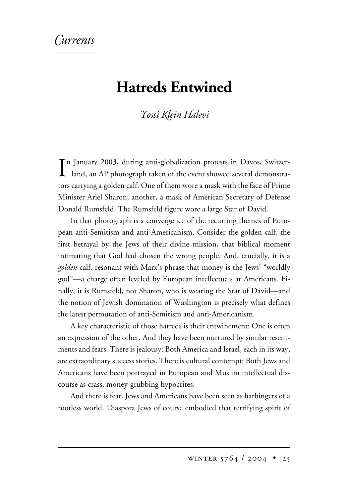## *urrents*

## **Hatreds Entwined**

## *-ossi lein alevi*

In January 2003, during anti-globalization protests in Davos, Switzerland, an AP photograph taken of the event showed several demonstran January 2003, during anti-globalization protests in Davos, Switzertors carrying a golden calf. One of them wore a mask with the face of Prime Minister Ariel Sharon; another, a mask of American Secretary of Defense Donald Rumsfeld. The Rumsfeld figure wore a large Star of David.

In that photograph is a convergence of the recurring themes of European anti-Semitism and anti-Americanism. Consider the golden calf, the first betrayal by the Jews of their divine mission, that biblical moment intimating that God had chosen the wrong people. And, crucially, it is a *golden* calf, resonant with Marx's phrase that money is the Jews' "worldly god"—a charge often leveled by European intellectuals at Americans. Finally, it is Rumsfeld, not Sharon, who is wearing the Star of David—and the notion of Jewish domination of Washington is precisely what defines the latest permutation of anti-Semitism and anti-Americanism.

A key characteristic of those hatreds is their entwinement: One is often an expression of the other. And they have been nurtured by similar resentments and fears. There is jealousy: Both America and Israel, each in its way, are extraordinary success stories. There is cultural contempt: Both Jews and Americans have been portrayed in European and Muslim intellectual discourse as crass, money-grubbing hypocrites.

And there is fear. Jews and Americans have been seen as harbingers of a rootless world. Diaspora Jews of course embodied that terrifying spirit of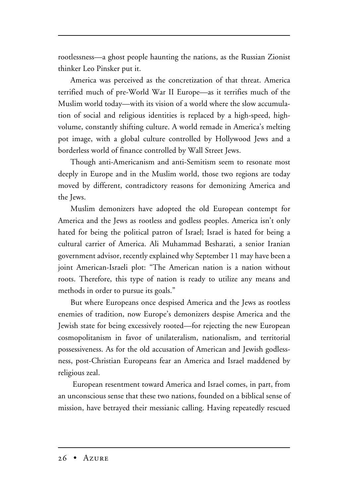rootlessness—a ghost people haunting the nations, as the Russian Zionist thinker Leo Pinsker put it.

America was perceived as the concretization of that threat. America terrified much of pre-World War II Europe—as it terrifies much of the Muslim world today—with its vision of a world where the slow accumulation of social and religious identities is replaced by a high-speed, highvolume, constantly shifting culture. A world remade in America's melting pot image, with a global culture controlled by Hollywood Jews and a borderless world of finance controlled by Wall Street Jews.

Though anti-Americanism and anti-Semitism seem to resonate most deeply in Europe and in the Muslim world, those two regions are today moved by different, contradictory reasons for demonizing America and the Jews.

Muslim demonizers have adopted the old European contempt for America and the Jews as rootless and godless peoples. America isn't only hated for being the political patron of Israel; Israel is hated for being a cultural carrier of America. Ali Muhammad Besharati, a senior Iranian government advisor, recently explained why September 11 may have been a joint American-Israeli plot: "The American nation is a nation without roots. Therefore, this type of nation is ready to utilize any means and methods in order to pursue its goals."

But where Europeans once despised America and the Jews as rootless enemies of tradition, now Europe's demonizers despise America and the Jewish state for being excessively rooted—for rejecting the new European cosmopolitanism in favor of unilateralism, nationalism, and territorial possessiveness. As for the old accusation of American and Jewish godlessness, post-Christian Europeans fear an America and Israel maddened by religious zeal.

European resentment toward America and Israel comes, in part, from an unconscious sense that these two nations, founded on a biblical sense of mission, have betrayed their messianic calling. Having repeatedly rescued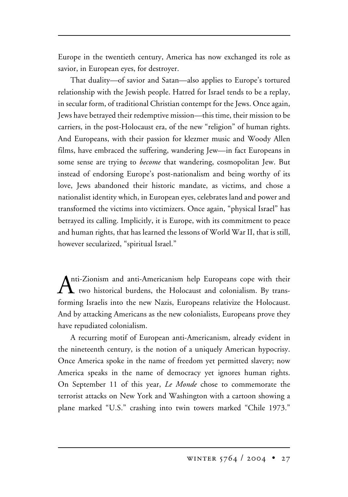Europe in the twentieth century, America has now exchanged its role as savior, in European eyes, for destroyer.

That duality—of savior and Satan—also applies to Europe's tortured relationship with the Jewish people. Hatred for Israel tends to be a replay, in secular form, of traditional Christian contempt for the Jews. Once again, Jews have betrayed their redemptive mission—this time, their mission to be carriers, in the post-Holocaust era, of the new "religion" of human rights. And Europeans, with their passion for klezmer music and Woody Allen films, have embraced the suffering, wandering Jew—in fact Europeans in some sense are trying to *become* that wandering, cosmopolitan Jew. But instead of endorsing Europe's post-nationalism and being worthy of its love, Jews abandoned their historic mandate, as victims, and chose a nationalist identity which, in European eyes, celebrates land and power and transformed the victims into victimizers. Once again, "physical Israel" has betrayed its calling. Implicitly, it is Europe, with its commitment to peace and human rights, that has learned the lessons of World War II, that is still, however secularized, "spiritual Israel."

Anti-Zionism and anti-Americanism help Europeans cope with their two historical burdens, the Holocaust and colonialism. By transforming Israelis into the new Nazis, Europeans relativize the Holocaust. And by attacking Americans as the new colonialists, Europeans prove they have repudiated colonialism.

A recurring motif of European anti-Americanism, already evident in the nineteenth century, is the notion of a uniquely American hypocrisy. Once America spoke in the name of freedom yet permitted slavery; now America speaks in the name of democracy yet ignores human rights. On September 11 of this year, *Le Monde* chose to commemorate the terrorist attacks on New York and Washington with a cartoon showing a plane marked "U.S." crashing into twin towers marked "Chile 1973."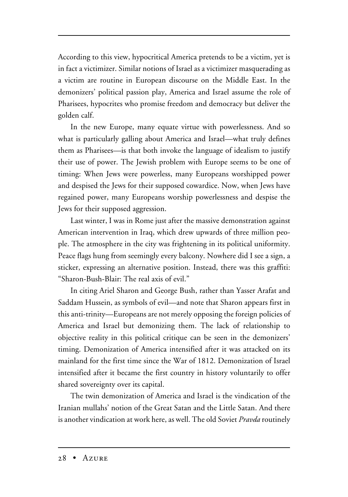According to this view, hypocritical America pretends to be a victim, yet is in fact a victimizer. Similar notions of Israel as a victimizer masquerading as a victim are routine in European discourse on the Middle East. In the demonizers' political passion play, America and Israel assume the role of Pharisees, hypocrites who promise freedom and democracy but deliver the golden calf.

In the new Europe, many equate virtue with powerlessness. And so what is particularly galling about America and Israel—what truly defines them as Pharisees—is that both invoke the language of idealism to justify their use of power. The Jewish problem with Europe seems to be one of timing: When Jews were powerless, many Europeans worshipped power and despised the Jews for their supposed cowardice. Now, when Jews have regained power, many Europeans worship powerlessness and despise the Jews for their supposed aggression.

Last winter, I was in Rome just after the massive demonstration against American intervention in Iraq, which drew upwards of three million people. The atmosphere in the city was frightening in its political uniformity. Peace flags hung from seemingly every balcony. Nowhere did I see a sign, a sticker, expressing an alternative position. Instead, there was this graffiti: "Sharon-Bush-Blair: The real axis of evil."

In citing Ariel Sharon and George Bush, rather than Yasser Arafat and Saddam Hussein, as symbols of evil—and note that Sharon appears first in this anti-trinity—Europeans are not merely opposing the foreign policies of America and Israel but demonizing them. The lack of relationship to objective reality in this political critique can be seen in the demonizers' timing. Demonization of America intensified after it was attacked on its mainland for the first time since the War of 1812. Demonization of Israel intensified after it became the first country in history voluntarily to offer shared sovereignty over its capital.

The twin demonization of America and Israel is the vindication of the Iranian mullahs' notion of the Great Satan and the Little Satan. And there is another vindication at work here, as well. The old Soviet *Pravda* routinely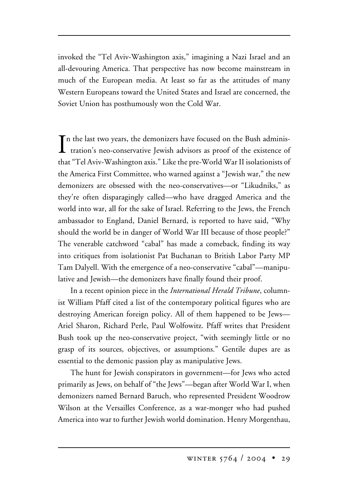invoked the "Tel Aviv-Washington axis," imagining a Nazi Israel and an all-devouring America. That perspective has now become mainstream in much of the European media. At least so far as the attitudes of many Western Europeans toward the United States and Israel are concerned, the Soviet Union has posthumously won the Cold War.

In the last two years, the demonizers have focused on the Bush administration's neo-conservative Jewish advisors as proof of the existence of  $\mathbf T$ n the last two years, the demonizers have focused on the Bush administhat "Tel Aviv-Washington axis." Like the pre-World War II isolationists of the America First Committee, who warned against a "Jewish war," the new demonizers are obsessed with the neo-conservatives—or "Likudniks," as they're often disparagingly called—who have dragged America and the world into war, all for the sake of Israel. Referring to the Jews, the French ambassador to England, Daniel Bernard, is reported to have said, "Why should the world be in danger of World War III because of those people?" The venerable catchword "cabal" has made a comeback, finding its way into critiques from isolationist Pat Buchanan to British Labor Party MP Tam Dalyell. With the emergence of a neo-conservative "cabal"—manipulative and Jewish—the demonizers have finally found their proof.

In a recent opinion piece in the *International Herald Tribune*, columnist William Pfaff cited a list of the contemporary political figures who are destroying American foreign policy. All of them happened to be Jews— Ariel Sharon, Richard Perle, Paul Wolfowitz. Pfaff writes that President Bush took up the neo-conservative project, "with seemingly little or no grasp of its sources, objectives, or assumptions." Gentile dupes are as essential to the demonic passion play as manipulative Jews.

The hunt for Jewish conspirators in government—for Jews who acted primarily as Jews, on behalf of "the Jews"—began after World War I, when demonizers named Bernard Baruch, who represented President Woodrow Wilson at the Versailles Conference, as a war-monger who had pushed America into war to further Jewish world domination. Henry Morgenthau,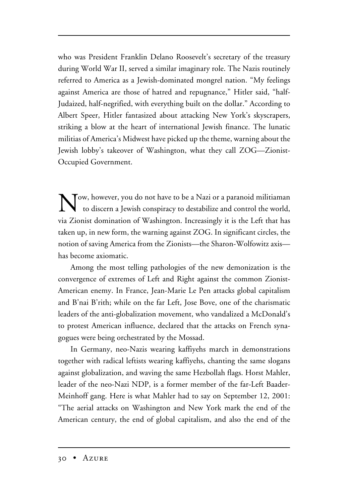who was President Franklin Delano Roosevelt's secretary of the treasury during World War II, served a similar imaginary role. The Nazis routinely referred to America as a Jewish-dominated mongrel nation. "My feelings against America are those of hatred and repugnance," Hitler said, "half-Judaized, half-negrified, with everything built on the dollar." According to Albert Speer, Hitler fantasized about attacking New York's skyscrapers, striking a blow at the heart of international Jewish finance. The lunatic militias of America's Midwest have picked up the theme, warning about the Jewish lobby's takeover of Washington, what they call ZOG—Zionist-Occupied Government.

Now, however, you do not have to be a Nazi or a paranoid militiaman to discern a Jewish conspiracy to destabilize and control the world, via Zionist domination of Washington. Increasingly it is the Left that has taken up, in new form, the warning against ZOG. In significant circles, the notion of saving America from the Zionists—the Sharon-Wolfowitz axis has become axiomatic.

Among the most telling pathologies of the new demonization is the convergence of extremes of Left and Right against the common Zionist-American enemy. In France, Jean-Marie Le Pen attacks global capitalism and B'nai B'rith; while on the far Left, Jose Bove, one of the charismatic leaders of the anti-globalization movement, who vandalized a McDonald's to protest American influence, declared that the attacks on French synagogues were being orchestrated by the Mossad.

In Germany, neo-Nazis wearing kaffiyehs march in demonstrations together with radical leftists wearing kaffiyehs, chanting the same slogans against globalization, and waving the same Hezbollah flags. Horst Mahler, leader of the neo-Nazi NDP, is a former member of the far-Left Baader-Meinhoff gang. Here is what Mahler had to say on September 12, 2001: "The aerial attacks on Washington and New York mark the end of the American century, the end of global capitalism, and also the end of the